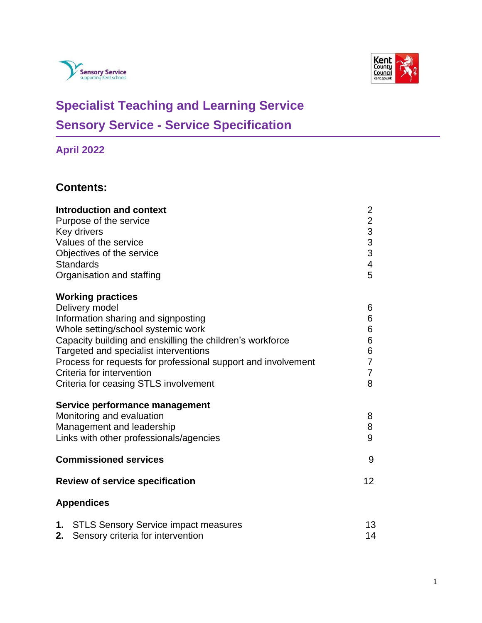



# **Specialist Teaching and Learning Service Sensory Service - Service Specification**

# **April 2022**

## **Contents:**

| <b>Introduction and context</b><br>Purpose of the service<br>Key drivers<br>Values of the service<br>Objectives of the service<br><b>Standards</b><br>Organisation and staffing                                                                                                                                                                                      | $\overline{c}$<br>$\begin{array}{c}\n2 \\ 3 \\ 3\n\end{array}$<br>$\overline{\mathbf{4}}$<br>5 |
|----------------------------------------------------------------------------------------------------------------------------------------------------------------------------------------------------------------------------------------------------------------------------------------------------------------------------------------------------------------------|------------------------------------------------------------------------------------------------|
| <b>Working practices</b><br>Delivery model<br>Information sharing and signposting<br>Whole setting/school systemic work<br>Capacity building and enskilling the children's workforce<br>Targeted and specialist interventions<br>Process for requests for professional support and involvement<br>Criteria for intervention<br>Criteria for ceasing STLS involvement | 6<br>6<br>6<br>$\,6$<br>6<br>$\overline{7}$<br>$\overline{7}$<br>8                             |
| Service performance management<br>Monitoring and evaluation<br>Management and leadership<br>Links with other professionals/agencies                                                                                                                                                                                                                                  |                                                                                                |
| <b>Commissioned services</b>                                                                                                                                                                                                                                                                                                                                         | 9                                                                                              |
| <b>Review of service specification</b>                                                                                                                                                                                                                                                                                                                               | 12                                                                                             |
| <b>Appendices</b>                                                                                                                                                                                                                                                                                                                                                    |                                                                                                |
| 1. STLS Sensory Service impact measures<br>2.<br>Sensory criteria for intervention                                                                                                                                                                                                                                                                                   | 13<br>14                                                                                       |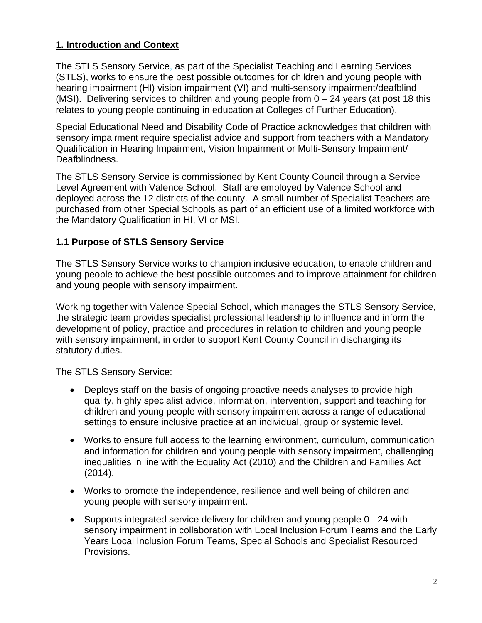### **1. Introduction and Context**

The STLS Sensory Service, as part of the Specialist Teaching and Learning Services (STLS), works to ensure the best possible outcomes for children and young people with hearing impairment (HI) vision impairment (VI) and multi-sensory impairment/deafblind (MSI). Delivering services to children and young people from  $0 - 24$  years (at post 18 this relates to young people continuing in education at Colleges of Further Education).

Special Educational Need and Disability Code of Practice acknowledges that children with sensory impairment require specialist advice and support from teachers with a Mandatory Qualification in Hearing Impairment, Vision Impairment or Multi-Sensory Impairment/ Deafblindness.

The STLS Sensory Service is commissioned by Kent County Council through a Service Level Agreement with Valence School. Staff are employed by Valence School and deployed across the 12 districts of the county. A small number of Specialist Teachers are purchased from other Special Schools as part of an efficient use of a limited workforce with the Mandatory Qualification in HI, VI or MSI.

### **1.1 Purpose of STLS Sensory Service**

The STLS Sensory Service works to champion inclusive education, to enable children and young people to achieve the best possible outcomes and to improve attainment for children and young people with sensory impairment.

Working together with Valence Special School, which manages the STLS Sensory Service, the strategic team provides specialist professional leadership to influence and inform the development of policy, practice and procedures in relation to children and young people with sensory impairment, in order to support Kent County Council in discharging its statutory duties.

The STLS Sensory Service:

- Deploys staff on the basis of ongoing proactive needs analyses to provide high quality, highly specialist advice, information, intervention, support and teaching for children and young people with sensory impairment across a range of educational settings to ensure inclusive practice at an individual, group or systemic level.
- Works to ensure full access to the learning environment, curriculum, communication and information for children and young people with sensory impairment, challenging inequalities in line with the Equality Act (2010) and the Children and Families Act (2014).
- Works to promote the independence, resilience and well being of children and young people with sensory impairment.
- Supports integrated service delivery for children and young people 0 24 with sensory impairment in collaboration with Local Inclusion Forum Teams and the Early Years Local Inclusion Forum Teams, Special Schools and Specialist Resourced Provisions.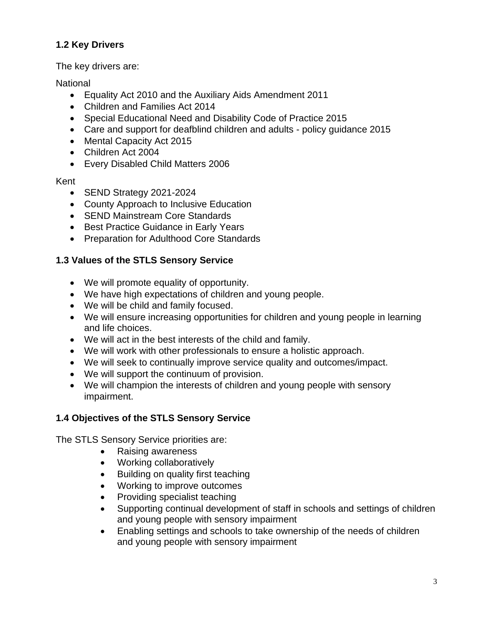### **1.2 Key Drivers**

The key drivers are:

#### **National**

- Equality Act 2010 and the Auxiliary Aids Amendment 2011
- Children and Families Act 2014
- Special Educational Need and Disability Code of Practice 2015
- Care and support for deafblind children and adults policy guidance 2015
- Mental Capacity Act 2015
- Children Act 2004
- Every Disabled Child Matters 2006

#### Kent

- SEND Strategy 2021-2024
- County Approach to Inclusive Education
- SEND Mainstream Core Standards
- Best Practice Guidance in Early Years
- Preparation for Adulthood Core Standards

#### **1.3 Values of the STLS Sensory Service**

- We will promote equality of opportunity.
- We have high expectations of children and young people.
- We will be child and family focused.
- We will ensure increasing opportunities for children and young people in learning and life choices.
- We will act in the best interests of the child and family.
- We will work with other professionals to ensure a holistic approach.
- We will seek to continually improve service quality and outcomes/impact.
- We will support the continuum of provision.
- We will champion the interests of children and young people with sensory impairment.

#### **1.4 Objectives of the STLS Sensory Service**

The STLS Sensory Service priorities are:

- Raising awareness
- Working collaboratively
- Building on quality first teaching
- Working to improve outcomes
- Providing specialist teaching
- Supporting continual development of staff in schools and settings of children and young people with sensory impairment
- Enabling settings and schools to take ownership of the needs of children and young people with sensory impairment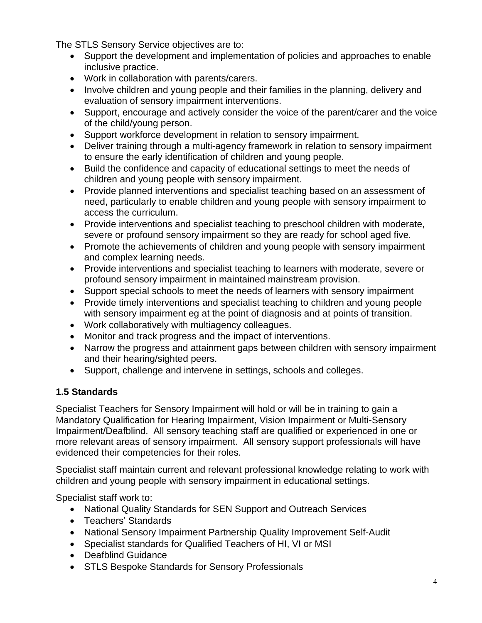The STLS Sensory Service objectives are to:

- Support the development and implementation of policies and approaches to enable inclusive practice.
- Work in collaboration with parents/carers.
- Involve children and young people and their families in the planning, delivery and evaluation of sensory impairment interventions.
- Support, encourage and actively consider the voice of the parent/carer and the voice of the child/young person.
- Support workforce development in relation to sensory impairment.
- Deliver training through a multi-agency framework in relation to sensory impairment to ensure the early identification of children and young people.
- Build the confidence and capacity of educational settings to meet the needs of children and young people with sensory impairment.
- Provide planned interventions and specialist teaching based on an assessment of need, particularly to enable children and young people with sensory impairment to access the curriculum.
- Provide interventions and specialist teaching to preschool children with moderate, severe or profound sensory impairment so they are ready for school aged five.
- Promote the achievements of children and young people with sensory impairment and complex learning needs.
- Provide interventions and specialist teaching to learners with moderate, severe or profound sensory impairment in maintained mainstream provision.
- Support special schools to meet the needs of learners with sensory impairment
- Provide timely interventions and specialist teaching to children and young people with sensory impairment eg at the point of diagnosis and at points of transition.
- Work collaboratively with multiagency colleagues.
- Monitor and track progress and the impact of interventions.
- Narrow the progress and attainment gaps between children with sensory impairment and their hearing/sighted peers.
- Support, challenge and intervene in settings, schools and colleges.

### **1.5 Standards**

Specialist Teachers for Sensory Impairment will hold or will be in training to gain a Mandatory Qualification for Hearing Impairment, Vision Impairment or Multi-Sensory Impairment/Deafblind. All sensory teaching staff are qualified or experienced in one or more relevant areas of sensory impairment. All sensory support professionals will have evidenced their competencies for their roles.

Specialist staff maintain current and relevant professional knowledge relating to work with children and young people with sensory impairment in educational settings.

Specialist staff work to:

- National Quality Standards for SEN Support and Outreach Services
- Teachers' Standards
- National Sensory Impairment Partnership Quality Improvement Self-Audit
- Specialist standards for Qualified Teachers of HI, VI or MSI
- Deafblind Guidance
- STLS Bespoke Standards for Sensory Professionals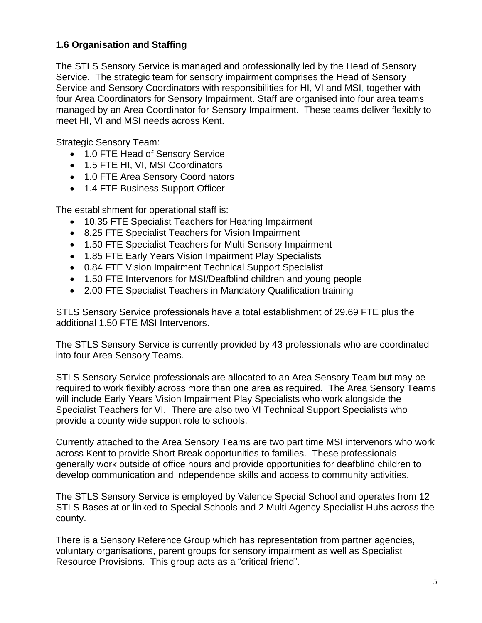#### **1.6 Organisation and Staffing**

The STLS Sensory Service is managed and professionally led by the Head of Sensory Service. The strategic team for sensory impairment comprises the Head of Sensory Service and Sensory Coordinators with responsibilities for HI, VI and MSI, together with four Area Coordinators for Sensory Impairment. Staff are organised into four area teams managed by an Area Coordinator for Sensory Impairment. These teams deliver flexibly to meet HI, VI and MSI needs across Kent.

Strategic Sensory Team:

- 1.0 FTE Head of Sensory Service
- 1.5 FTE HI, VI, MSI Coordinators
- 1.0 FTE Area Sensory Coordinators
- 1.4 FTE Business Support Officer

The establishment for operational staff is:

- 10.35 FTE Specialist Teachers for Hearing Impairment
- 8.25 FTE Specialist Teachers for Vision Impairment
- 1.50 FTE Specialist Teachers for Multi-Sensory Impairment
- 1.85 FTE Early Years Vision Impairment Play Specialists
- 0.84 FTE Vision Impairment Technical Support Specialist
- 1.50 FTE Intervenors for MSI/Deafblind children and young people
- 2.00 FTE Specialist Teachers in Mandatory Qualification training

STLS Sensory Service professionals have a total establishment of 29.69 FTE plus the additional 1.50 FTE MSI Intervenors.

The STLS Sensory Service is currently provided by 43 professionals who are coordinated into four Area Sensory Teams.

STLS Sensory Service professionals are allocated to an Area Sensory Team but may be required to work flexibly across more than one area as required. The Area Sensory Teams will include Early Years Vision Impairment Play Specialists who work alongside the Specialist Teachers for VI. There are also two VI Technical Support Specialists who provide a county wide support role to schools.

Currently attached to the Area Sensory Teams are two part time MSI intervenors who work across Kent to provide Short Break opportunities to families. These professionals generally work outside of office hours and provide opportunities for deafblind children to develop communication and independence skills and access to community activities.

The STLS Sensory Service is employed by Valence Special School and operates from 12 STLS Bases at or linked to Special Schools and 2 Multi Agency Specialist Hubs across the county.

There is a Sensory Reference Group which has representation from partner agencies, voluntary organisations, parent groups for sensory impairment as well as Specialist Resource Provisions. This group acts as a "critical friend".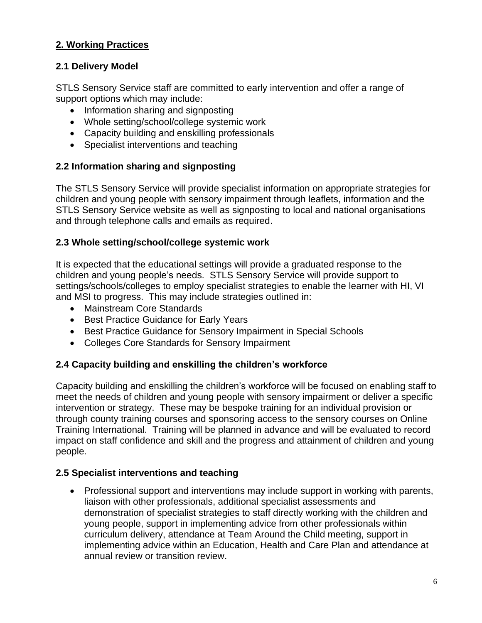### **2. Working Practices**

#### **2.1 Delivery Model**

STLS Sensory Service staff are committed to early intervention and offer a range of support options which may include:

- Information sharing and signposting
- Whole setting/school/college systemic work
- Capacity building and enskilling professionals
- Specialist interventions and teaching

#### **2.2 Information sharing and signposting**

The STLS Sensory Service will provide specialist information on appropriate strategies for children and young people with sensory impairment through leaflets, information and the STLS Sensory Service website as well as signposting to local and national organisations and through telephone calls and emails as required.

#### **2.3 Whole setting/school/college systemic work**

It is expected that the educational settings will provide a graduated response to the children and young people's needs. STLS Sensory Service will provide support to settings/schools/colleges to employ specialist strategies to enable the learner with HI, VI and MSI to progress. This may include strategies outlined in:

- Mainstream Core Standards
- Best Practice Guidance for Early Years
- Best Practice Guidance for Sensory Impairment in Special Schools
- Colleges Core Standards for Sensory Impairment

#### **2.4 Capacity building and enskilling the children's workforce**

Capacity building and enskilling the children's workforce will be focused on enabling staff to meet the needs of children and young people with sensory impairment or deliver a specific intervention or strategy. These may be bespoke training for an individual provision or through county training courses and sponsoring access to the sensory courses on Online Training International. Training will be planned in advance and will be evaluated to record impact on staff confidence and skill and the progress and attainment of children and young people.

#### **2.5 Specialist interventions and teaching**

• Professional support and interventions may include support in working with parents, liaison with other professionals, additional specialist assessments and demonstration of specialist strategies to staff directly working with the children and young people, support in implementing advice from other professionals within curriculum delivery, attendance at Team Around the Child meeting, support in implementing advice within an Education, Health and Care Plan and attendance at annual review or transition review.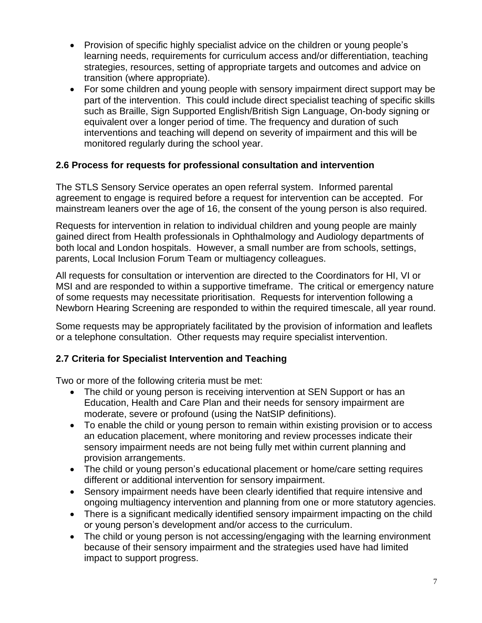- Provision of specific highly specialist advice on the children or young people's learning needs, requirements for curriculum access and/or differentiation, teaching strategies, resources, setting of appropriate targets and outcomes and advice on transition (where appropriate).
- For some children and young people with sensory impairment direct support may be part of the intervention. This could include direct specialist teaching of specific skills such as Braille, Sign Supported English/British Sign Language, On-body signing or equivalent over a longer period of time. The frequency and duration of such interventions and teaching will depend on severity of impairment and this will be monitored regularly during the school year.

### **2.6 Process for requests for professional consultation and intervention**

The STLS Sensory Service operates an open referral system. Informed parental agreement to engage is required before a request for intervention can be accepted. For mainstream leaners over the age of 16, the consent of the young person is also required.

Requests for intervention in relation to individual children and young people are mainly gained direct from Health professionals in Ophthalmology and Audiology departments of both local and London hospitals. However, a small number are from schools, settings, parents, Local Inclusion Forum Team or multiagency colleagues.

All requests for consultation or intervention are directed to the Coordinators for HI, VI or MSI and are responded to within a supportive timeframe. The critical or emergency nature of some requests may necessitate prioritisation. Requests for intervention following a Newborn Hearing Screening are responded to within the required timescale, all year round.

Some requests may be appropriately facilitated by the provision of information and leaflets or a telephone consultation. Other requests may require specialist intervention.

### **2.7 Criteria for Specialist Intervention and Teaching**

Two or more of the following criteria must be met:

- The child or young person is receiving intervention at SEN Support or has an Education, Health and Care Plan and their needs for sensory impairment are moderate, severe or profound (using the NatSIP definitions).
- To enable the child or young person to remain within existing provision or to access an education placement, where monitoring and review processes indicate their sensory impairment needs are not being fully met within current planning and provision arrangements.
- The child or young person's educational placement or home/care setting requires different or additional intervention for sensory impairment.
- Sensory impairment needs have been clearly identified that require intensive and ongoing multiagency intervention and planning from one or more statutory agencies.
- There is a significant medically identified sensory impairment impacting on the child or young person's development and/or access to the curriculum.
- The child or young person is not accessing/engaging with the learning environment because of their sensory impairment and the strategies used have had limited impact to support progress.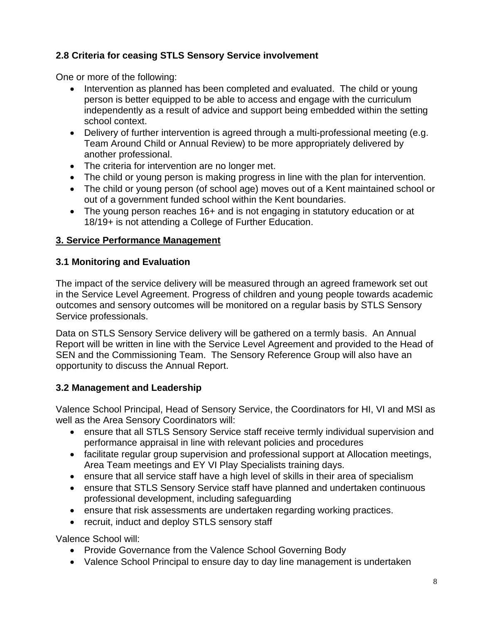### **2.8 Criteria for ceasing STLS Sensory Service involvement**

One or more of the following:

- Intervention as planned has been completed and evaluated. The child or young person is better equipped to be able to access and engage with the curriculum independently as a result of advice and support being embedded within the setting school context.
- Delivery of further intervention is agreed through a multi-professional meeting (e.g. Team Around Child or Annual Review) to be more appropriately delivered by another professional.
- The criteria for intervention are no longer met.
- The child or young person is making progress in line with the plan for intervention.
- The child or young person (of school age) moves out of a Kent maintained school or out of a government funded school within the Kent boundaries.
- The young person reaches 16+ and is not engaging in statutory education or at 18/19+ is not attending a College of Further Education.

### **3. Service Performance Management**

### **3.1 Monitoring and Evaluation**

The impact of the service delivery will be measured through an agreed framework set out in the Service Level Agreement. Progress of children and young people towards academic outcomes and sensory outcomes will be monitored on a regular basis by STLS Sensory Service professionals.

Data on STLS Sensory Service delivery will be gathered on a termly basis. An Annual Report will be written in line with the Service Level Agreement and provided to the Head of SEN and the Commissioning Team. The Sensory Reference Group will also have an opportunity to discuss the Annual Report.

### **3.2 Management and Leadership**

Valence School Principal, Head of Sensory Service, the Coordinators for HI, VI and MSI as well as the Area Sensory Coordinators will:

- ensure that all STLS Sensory Service staff receive termly individual supervision and performance appraisal in line with relevant policies and procedures
- facilitate regular group supervision and professional support at Allocation meetings, Area Team meetings and EY VI Play Specialists training days.
- ensure that all service staff have a high level of skills in their area of specialism
- ensure that STLS Sensory Service staff have planned and undertaken continuous professional development, including safeguarding
- ensure that risk assessments are undertaken regarding working practices.
- recruit, induct and deploy STLS sensory staff

Valence School will:

- Provide Governance from the Valence School Governing Body
- Valence School Principal to ensure day to day line management is undertaken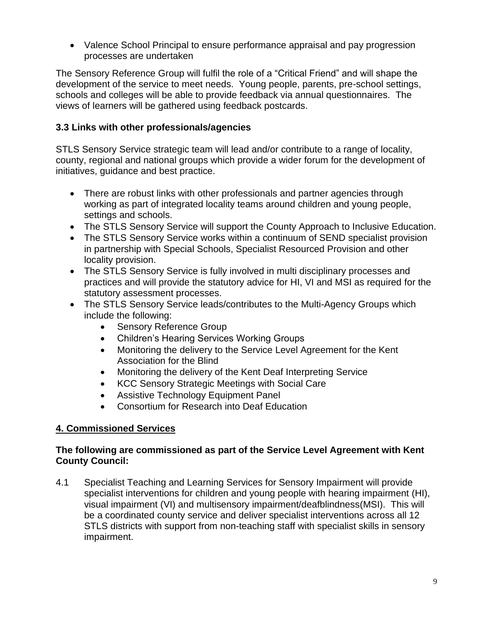• Valence School Principal to ensure performance appraisal and pay progression processes are undertaken

The Sensory Reference Group will fulfil the role of a "Critical Friend" and will shape the development of the service to meet needs. Young people, parents, pre-school settings, schools and colleges will be able to provide feedback via annual questionnaires. The views of learners will be gathered using feedback postcards.

#### **3.3 Links with other professionals/agencies**

STLS Sensory Service strategic team will lead and/or contribute to a range of locality, county, regional and national groups which provide a wider forum for the development of initiatives, guidance and best practice.

- There are robust links with other professionals and partner agencies through working as part of integrated locality teams around children and young people, settings and schools.
- The STLS Sensory Service will support the County Approach to Inclusive Education.
- The STLS Sensory Service works within a continuum of SEND specialist provision in partnership with Special Schools, Specialist Resourced Provision and other locality provision.
- The STLS Sensory Service is fully involved in multi disciplinary processes and practices and will provide the statutory advice for HI, VI and MSI as required for the statutory assessment processes.
- The STLS Sensory Service leads/contributes to the Multi-Agency Groups which include the following:
	- Sensory Reference Group
	- Children's Hearing Services Working Groups
	- Monitoring the delivery to the Service Level Agreement for the Kent Association for the Blind
	- Monitoring the delivery of the Kent Deaf Interpreting Service
	- KCC Sensory Strategic Meetings with Social Care
	- Assistive Technology Equipment Panel
	- Consortium for Research into Deaf Education

### **4. Commissioned Services**

#### **The following are commissioned as part of the Service Level Agreement with Kent County Council:**

4.1 Specialist Teaching and Learning Services for Sensory Impairment will provide specialist interventions for children and young people with hearing impairment (HI), visual impairment (VI) and multisensory impairment/deafblindness(MSI). This will be a coordinated county service and deliver specialist interventions across all 12 STLS districts with support from non-teaching staff with specialist skills in sensory impairment.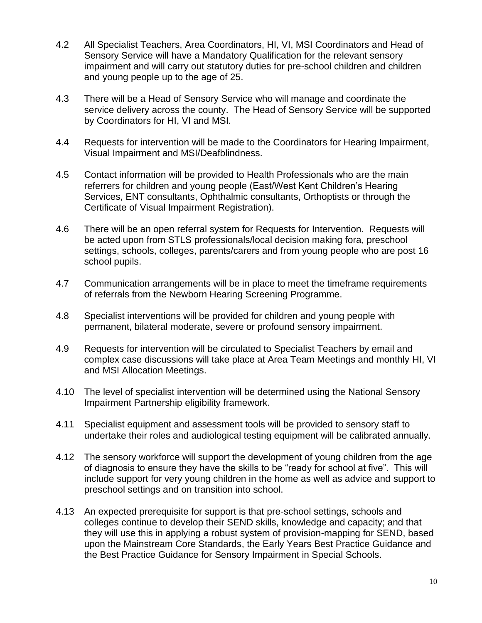- 4.2 All Specialist Teachers, Area Coordinators, HI, VI, MSI Coordinators and Head of Sensory Service will have a Mandatory Qualification for the relevant sensory impairment and will carry out statutory duties for pre-school children and children and young people up to the age of 25.
- 4.3 There will be a Head of Sensory Service who will manage and coordinate the service delivery across the county. The Head of Sensory Service will be supported by Coordinators for HI, VI and MSI.
- 4.4 Requests for intervention will be made to the Coordinators for Hearing Impairment, Visual Impairment and MSI/Deafblindness.
- 4.5 Contact information will be provided to Health Professionals who are the main referrers for children and young people (East/West Kent Children's Hearing Services, ENT consultants, Ophthalmic consultants, Orthoptists or through the Certificate of Visual Impairment Registration).
- 4.6 There will be an open referral system for Requests for Intervention. Requests will be acted upon from STLS professionals/local decision making fora, preschool settings, schools, colleges, parents/carers and from young people who are post 16 school pupils.
- 4.7 Communication arrangements will be in place to meet the timeframe requirements of referrals from the Newborn Hearing Screening Programme.
- 4.8 Specialist interventions will be provided for children and young people with permanent, bilateral moderate, severe or profound sensory impairment.
- 4.9 Requests for intervention will be circulated to Specialist Teachers by email and complex case discussions will take place at Area Team Meetings and monthly HI, VI and MSI Allocation Meetings.
- 4.10 The level of specialist intervention will be determined using the National Sensory Impairment Partnership eligibility framework.
- 4.11 Specialist equipment and assessment tools will be provided to sensory staff to undertake their roles and audiological testing equipment will be calibrated annually.
- 4.12 The sensory workforce will support the development of young children from the age of diagnosis to ensure they have the skills to be "ready for school at five". This will include support for very young children in the home as well as advice and support to preschool settings and on transition into school.
- 4.13 An expected prerequisite for support is that pre-school settings, schools and colleges continue to develop their SEND skills, knowledge and capacity; and that they will use this in applying a robust system of provision-mapping for SEND, based upon the Mainstream Core Standards, the Early Years Best Practice Guidance and the Best Practice Guidance for Sensory Impairment in Special Schools.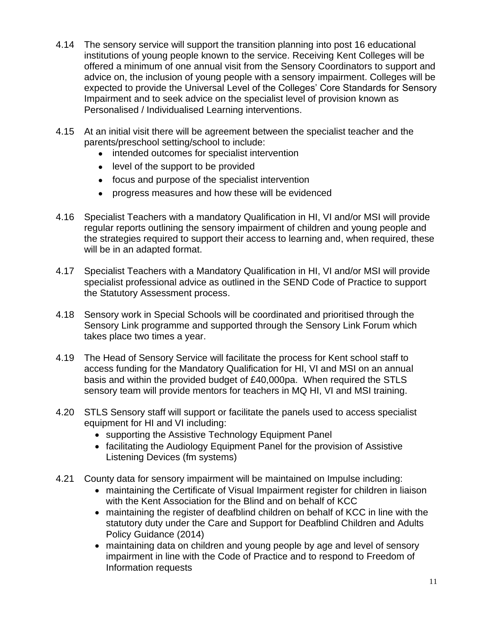- 4.14 The sensory service will support the transition planning into post 16 educational institutions of young people known to the service. Receiving Kent Colleges will be offered a minimum of one annual visit from the Sensory Coordinators to support and advice on, the inclusion of young people with a sensory impairment. Colleges will be expected to provide the Universal Level of the Colleges' Core Standards for Sensory Impairment and to seek advice on the specialist level of provision known as Personalised / Individualised Learning interventions.
- 4.15 At an initial visit there will be agreement between the specialist teacher and the parents/preschool setting/school to include:
	- intended outcomes for specialist intervention
	- level of the support to be provided
	- focus and purpose of the specialist intervention
	- progress measures and how these will be evidenced
- 4.16 Specialist Teachers with a mandatory Qualification in HI, VI and/or MSI will provide regular reports outlining the sensory impairment of children and young people and the strategies required to support their access to learning and, when required, these will be in an adapted format.
- 4.17 Specialist Teachers with a Mandatory Qualification in HI, VI and/or MSI will provide specialist professional advice as outlined in the SEND Code of Practice to support the Statutory Assessment process.
- 4.18 Sensory work in Special Schools will be coordinated and prioritised through the Sensory Link programme and supported through the Sensory Link Forum which takes place two times a year.
- 4.19 The Head of Sensory Service will facilitate the process for Kent school staff to access funding for the Mandatory Qualification for HI, VI and MSI on an annual basis and within the provided budget of £40,000pa. When required the STLS sensory team will provide mentors for teachers in MQ HI, VI and MSI training.
- 4.20 STLS Sensory staff will support or facilitate the panels used to access specialist equipment for HI and VI including:
	- supporting the Assistive Technology Equipment Panel
	- facilitating the Audiology Equipment Panel for the provision of Assistive Listening Devices (fm systems)
- 4.21 County data for sensory impairment will be maintained on Impulse including:
	- maintaining the Certificate of Visual Impairment register for children in liaison with the Kent Association for the Blind and on behalf of KCC
	- maintaining the register of deafblind children on behalf of KCC in line with the statutory duty under the Care and Support for Deafblind Children and Adults Policy Guidance (2014)
	- maintaining data on children and young people by age and level of sensory impairment in line with the Code of Practice and to respond to Freedom of Information requests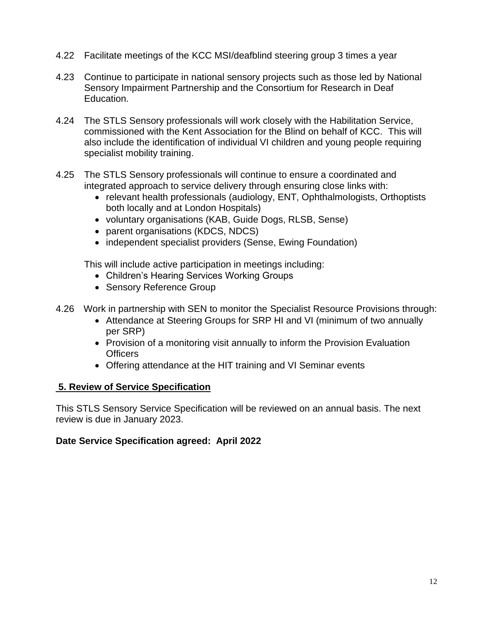- 4.22 Facilitate meetings of the KCC MSI/deafblind steering group 3 times a year
- 4.23 Continue to participate in national sensory projects such as those led by National Sensory Impairment Partnership and the Consortium for Research in Deaf Education.
- 4.24 The STLS Sensory professionals will work closely with the Habilitation Service, commissioned with the Kent Association for the Blind on behalf of KCC. This will also include the identification of individual VI children and young people requiring specialist mobility training.
- 4.25 The STLS Sensory professionals will continue to ensure a coordinated and integrated approach to service delivery through ensuring close links with:
	- relevant health professionals (audiology, ENT, Ophthalmologists, Orthoptists both locally and at London Hospitals)
	- voluntary organisations (KAB, Guide Dogs, RLSB, Sense)
	- parent organisations (KDCS, NDCS)
	- independent specialist providers (Sense, Ewing Foundation)

This will include active participation in meetings including:

- Children's Hearing Services Working Groups
- Sensory Reference Group
- 4.26 Work in partnership with SEN to monitor the Specialist Resource Provisions through:
	- Attendance at Steering Groups for SRP HI and VI (minimum of two annually per SRP)
	- Provision of a monitoring visit annually to inform the Provision Evaluation **Officers**
	- Offering attendance at the HIT training and VI Seminar events

#### **5. Review of Service Specification**

This STLS Sensory Service Specification will be reviewed on an annual basis. The next review is due in January 2023.

#### **Date Service Specification agreed: April 2022**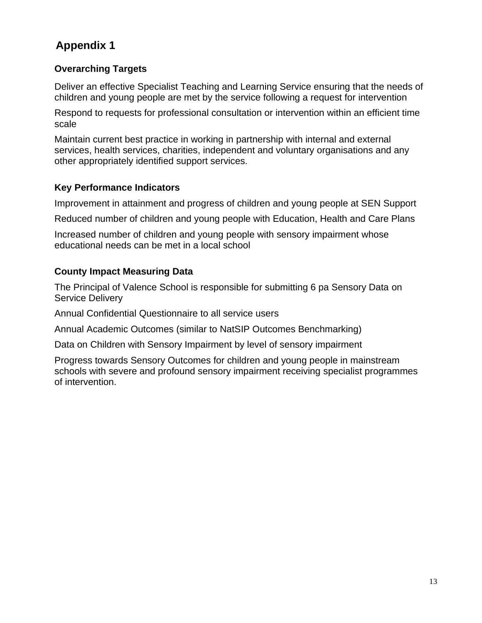# **Appendix 1**

### **Overarching Targets**

Deliver an effective Specialist Teaching and Learning Service ensuring that the needs of children and young people are met by the service following a request for intervention

Respond to requests for professional consultation or intervention within an efficient time scale

Maintain current best practice in working in partnership with internal and external services, health services, charities, independent and voluntary organisations and any other appropriately identified support services.

### **Key Performance Indicators**

Improvement in attainment and progress of children and young people at SEN Support

Reduced number of children and young people with Education, Health and Care Plans

Increased number of children and young people with sensory impairment whose educational needs can be met in a local school

### **County Impact Measuring Data**

The Principal of Valence School is responsible for submitting 6 pa Sensory Data on Service Delivery

Annual Confidential Questionnaire to all service users

Annual Academic Outcomes (similar to NatSIP Outcomes Benchmarking)

Data on Children with Sensory Impairment by level of sensory impairment

Progress towards Sensory Outcomes for children and young people in mainstream schools with severe and profound sensory impairment receiving specialist programmes of intervention.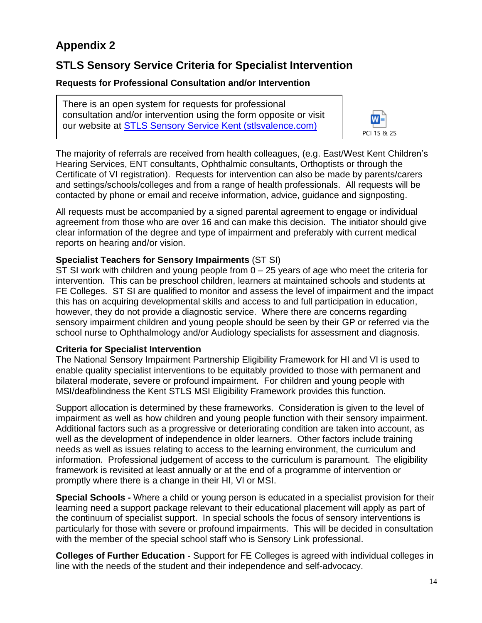# **Appendix 2**

# **STLS Sensory Service Criteria for Specialist Intervention**

#### **Requests for Professional Consultation and/or Intervention**

There is an open system for requests for professional consultation and/or intervention using the form opposite or visit our website at [STLS Sensory Service Kent \(stlsvalence.com\)](https://www.stlsvalence.com/page/?title=STLS+Sensory+Service+Kent&pid=44)



The majority of referrals are received from health colleagues, (e.g. East/West Kent Children's Hearing Services, ENT consultants, Ophthalmic consultants, Orthoptists or through the Certificate of VI registration). Requests for intervention can also be made by parents/carers and settings/schools/colleges and from a range of health professionals. All requests will be contacted by phone or email and receive information, advice, guidance and signposting.

All requests must be accompanied by a signed parental agreement to engage or individual agreement from those who are over 16 and can make this decision. The initiator should give clear information of the degree and type of impairment and preferably with current medical reports on hearing and/or vision.

#### **Specialist Teachers for Sensory Impairments** (ST SI)

ST SI work with children and young people from  $0 - 25$  years of age who meet the criteria for intervention. This can be preschool children, learners at maintained schools and students at FE Colleges. ST SI are qualified to monitor and assess the level of impairment and the impact this has on acquiring developmental skills and access to and full participation in education, however, they do not provide a diagnostic service. Where there are concerns regarding sensory impairment children and young people should be seen by their GP or referred via the school nurse to Ophthalmology and/or Audiology specialists for assessment and diagnosis.

#### **Criteria for Specialist Intervention**

The National Sensory Impairment Partnership Eligibility Framework for HI and VI is used to enable quality specialist interventions to be equitably provided to those with permanent and bilateral moderate, severe or profound impairment. For children and young people with MSI/deafblindness the Kent STLS MSI Eligibility Framework provides this function.

Support allocation is determined by these frameworks. Consideration is given to the level of impairment as well as how children and young people function with their sensory impairment. Additional factors such as a progressive or deteriorating condition are taken into account, as well as the development of independence in older learners. Other factors include training needs as well as issues relating to access to the learning environment, the curriculum and information. Professional judgement of access to the curriculum is paramount. The eligibility framework is revisited at least annually or at the end of a programme of intervention or promptly where there is a change in their HI, VI or MSI.

**Special Schools -** Where a child or young person is educated in a specialist provision for their learning need a support package relevant to their educational placement will apply as part of the continuum of specialist support. In special schools the focus of sensory interventions is particularly for those with severe or profound impairments. This will be decided in consultation with the member of the special school staff who is Sensory Link professional.

**Colleges of Further Education -** Support for FE Colleges is agreed with individual colleges in line with the needs of the student and their independence and self-advocacy.